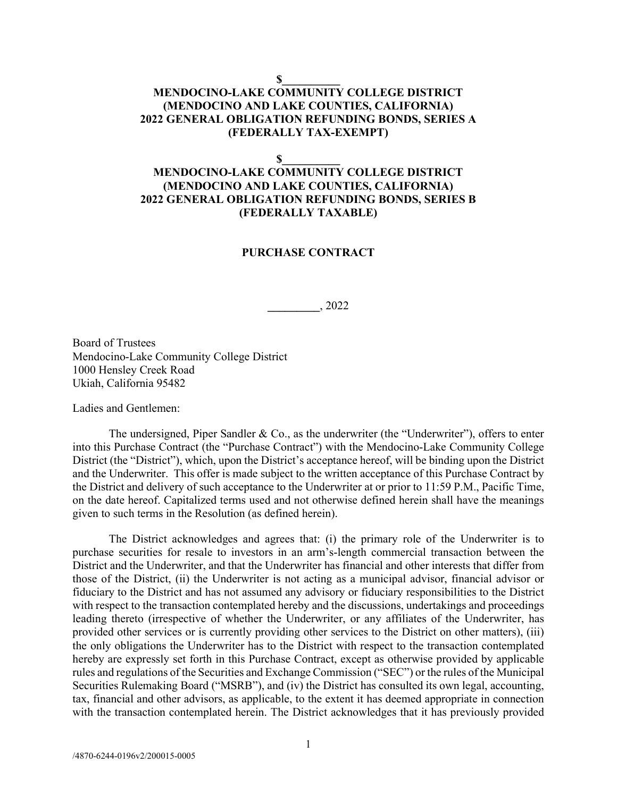#### **\$\_\_\_\_\_\_\_\_\_\_**

## **MENDOCINO-LAKE COMMUNITY COLLEGE DISTRICT (MENDOCINO AND LAKE COUNTIES, CALIFORNIA) 2022 GENERAL OBLIGATION REFUNDING BONDS, SERIES A (FEDERALLY TAX-EXEMPT)**

 $\mathbf S$ 

# **MENDOCINO-LAKE COMMUNITY COLLEGE DISTRICT (MENDOCINO AND LAKE COUNTIES, CALIFORNIA) 2022 GENERAL OBLIGATION REFUNDING BONDS, SERIES B (FEDERALLY TAXABLE)**

#### **PURCHASE CONTRACT**

**\_\_\_\_\_\_\_\_\_**, 2022

Board of Trustees Mendocino-Lake Community College District 1000 Hensley Creek Road Ukiah, California 95482

Ladies and Gentlemen:

The undersigned, Piper Sandler & Co., as the underwriter (the "Underwriter"), offers to enter into this Purchase Contract (the "Purchase Contract") with the Mendocino-Lake Community College District (the "District"), which, upon the District's acceptance hereof, will be binding upon the District and the Underwriter. This offer is made subject to the written acceptance of this Purchase Contract by the District and delivery of such acceptance to the Underwriter at or prior to 11:59 P.M., Pacific Time, on the date hereof. Capitalized terms used and not otherwise defined herein shall have the meanings given to such terms in the Resolution (as defined herein).

The District acknowledges and agrees that: (i) the primary role of the Underwriter is to purchase securities for resale to investors in an arm's-length commercial transaction between the District and the Underwriter, and that the Underwriter has financial and other interests that differ from those of the District, (ii) the Underwriter is not acting as a municipal advisor, financial advisor or fiduciary to the District and has not assumed any advisory or fiduciary responsibilities to the District with respect to the transaction contemplated hereby and the discussions, undertakings and proceedings leading thereto (irrespective of whether the Underwriter, or any affiliates of the Underwriter, has provided other services or is currently providing other services to the District on other matters), (iii) the only obligations the Underwriter has to the District with respect to the transaction contemplated hereby are expressly set forth in this Purchase Contract, except as otherwise provided by applicable rules and regulations of the Securities and Exchange Commission ("SEC") or the rules of the Municipal Securities Rulemaking Board ("MSRB"), and (iv) the District has consulted its own legal, accounting, tax, financial and other advisors, as applicable, to the extent it has deemed appropriate in connection with the transaction contemplated herein. The District acknowledges that it has previously provided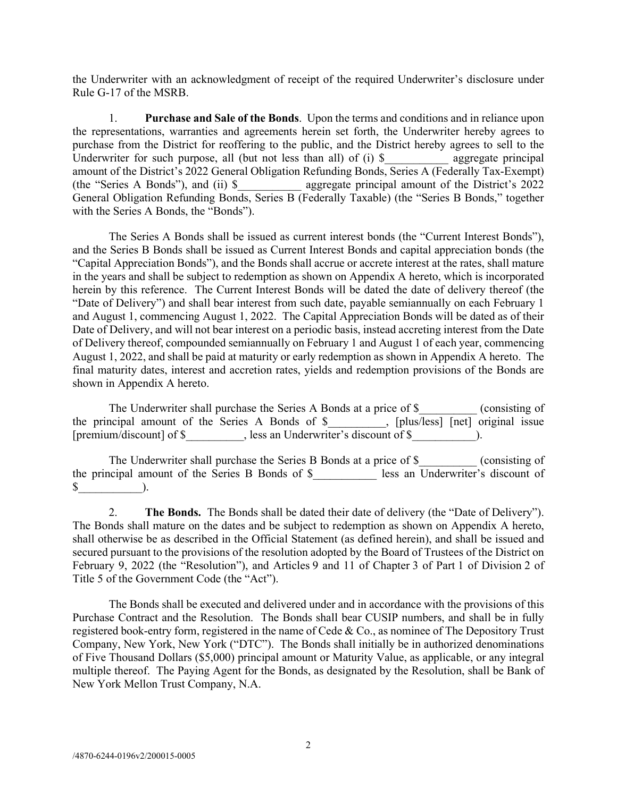the Underwriter with an acknowledgment of receipt of the required Underwriter's disclosure under Rule G-17 of the MSRB.

1. **Purchase and Sale of the Bonds**. Upon the terms and conditions and in reliance upon the representations, warranties and agreements herein set forth, the Underwriter hereby agrees to purchase from the District for reoffering to the public, and the District hereby agrees to sell to the Underwriter for such purpose, all (but not less than all) of  $(i)$  \$ aggregate principal amount of the District's 2022 General Obligation Refunding Bonds, Series A (Federally Tax-Exempt) (the "Series A Bonds"), and (ii) \$\_\_\_\_\_\_\_\_\_\_\_ aggregate principal amount of the District's 2022 General Obligation Refunding Bonds, Series B (Federally Taxable) (the "Series B Bonds," together with the Series A Bonds, the "Bonds").

The Series A Bonds shall be issued as current interest bonds (the "Current Interest Bonds"), and the Series B Bonds shall be issued as Current Interest Bonds and capital appreciation bonds (the "Capital Appreciation Bonds"), and the Bonds shall accrue or accrete interest at the rates, shall mature in the years and shall be subject to redemption as shown on Appendix A hereto, which is incorporated herein by this reference. The Current Interest Bonds will be dated the date of delivery thereof (the "Date of Delivery") and shall bear interest from such date, payable semiannually on each February 1 and August 1, commencing August 1, 2022. The Capital Appreciation Bonds will be dated as of their Date of Delivery, and will not bear interest on a periodic basis, instead accreting interest from the Date of Delivery thereof, compounded semiannually on February 1 and August 1 of each year, commencing August 1, 2022, and shall be paid at maturity or early redemption as shown in Appendix A hereto. The final maturity dates, interest and accretion rates, yields and redemption provisions of the Bonds are shown in Appendix A hereto.

The Underwriter shall purchase the Series A Bonds at a price of \$\_\_\_\_\_\_\_\_\_\_ (consisting of the principal amount of the Series A Bonds of \$\_\_\_\_\_\_\_\_\_\_, [plus/less] [net] original issue [premium/discount] of \$ , less an Underwriter's discount of \$ .

The Underwriter shall purchase the Series B Bonds at a price of  $\$\$  (consisting of the principal amount of the Series B Bonds of \$\_\_\_\_\_\_\_\_\_\_\_ less an Underwriter's discount of  $\$\quad$ ).

2. **The Bonds.** The Bonds shall be dated their date of delivery (the "Date of Delivery"). The Bonds shall mature on the dates and be subject to redemption as shown on Appendix A hereto, shall otherwise be as described in the Official Statement (as defined herein), and shall be issued and secured pursuant to the provisions of the resolution adopted by the Board of Trustees of the District on February 9, 2022 (the "Resolution"), and Articles 9 and 11 of Chapter 3 of Part 1 of Division 2 of Title 5 of the Government Code (the "Act").

The Bonds shall be executed and delivered under and in accordance with the provisions of this Purchase Contract and the Resolution. The Bonds shall bear CUSIP numbers, and shall be in fully registered book-entry form, registered in the name of Cede & Co., as nominee of The Depository Trust Company, New York, New York ("DTC"). The Bonds shall initially be in authorized denominations of Five Thousand Dollars (\$5,000) principal amount or Maturity Value, as applicable, or any integral multiple thereof. The Paying Agent for the Bonds, as designated by the Resolution, shall be Bank of New York Mellon Trust Company, N.A.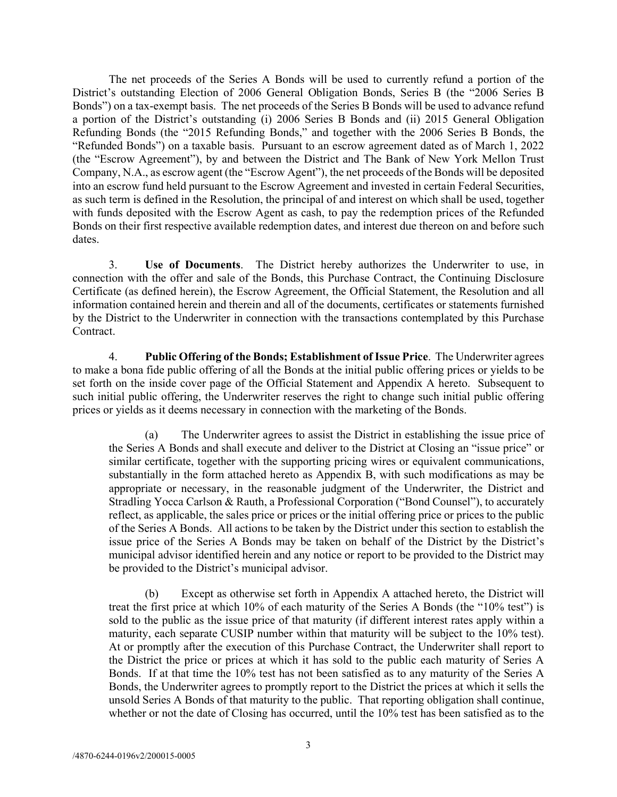The net proceeds of the Series A Bonds will be used to currently refund a portion of the District's outstanding Election of 2006 General Obligation Bonds, Series B (the "2006 Series B Bonds") on a tax-exempt basis. The net proceeds of the Series B Bonds will be used to advance refund a portion of the District's outstanding (i) 2006 Series B Bonds and (ii) 2015 General Obligation Refunding Bonds (the "2015 Refunding Bonds," and together with the 2006 Series B Bonds, the "Refunded Bonds") on a taxable basis. Pursuant to an escrow agreement dated as of March 1, 2022 (the "Escrow Agreement"), by and between the District and The Bank of New York Mellon Trust Company, N.A., as escrow agent (the "Escrow Agent"), the net proceeds of the Bonds will be deposited into an escrow fund held pursuant to the Escrow Agreement and invested in certain Federal Securities, as such term is defined in the Resolution, the principal of and interest on which shall be used, together with funds deposited with the Escrow Agent as cash, to pay the redemption prices of the Refunded Bonds on their first respective available redemption dates, and interest due thereon on and before such dates.

3. **Use of Documents**. The District hereby authorizes the Underwriter to use, in connection with the offer and sale of the Bonds, this Purchase Contract, the Continuing Disclosure Certificate (as defined herein), the Escrow Agreement, the Official Statement, the Resolution and all information contained herein and therein and all of the documents, certificates or statements furnished by the District to the Underwriter in connection with the transactions contemplated by this Purchase Contract.

4. **Public Offering of the Bonds; Establishment of Issue Price**. The Underwriter agrees to make a bona fide public offering of all the Bonds at the initial public offering prices or yields to be set forth on the inside cover page of the Official Statement and Appendix A hereto. Subsequent to such initial public offering, the Underwriter reserves the right to change such initial public offering prices or yields as it deems necessary in connection with the marketing of the Bonds.

(a) The Underwriter agrees to assist the District in establishing the issue price of the Series A Bonds and shall execute and deliver to the District at Closing an "issue price" or similar certificate, together with the supporting pricing wires or equivalent communications, substantially in the form attached hereto as Appendix B, with such modifications as may be appropriate or necessary, in the reasonable judgment of the Underwriter, the District and Stradling Yocca Carlson & Rauth, a Professional Corporation ("Bond Counsel"), to accurately reflect, as applicable, the sales price or prices or the initial offering price or prices to the public of the Series A Bonds. All actions to be taken by the District under this section to establish the issue price of the Series A Bonds may be taken on behalf of the District by the District's municipal advisor identified herein and any notice or report to be provided to the District may be provided to the District's municipal advisor.

(b) Except as otherwise set forth in Appendix A attached hereto, the District will treat the first price at which 10% of each maturity of the Series A Bonds (the "10% test") is sold to the public as the issue price of that maturity (if different interest rates apply within a maturity, each separate CUSIP number within that maturity will be subject to the 10% test). At or promptly after the execution of this Purchase Contract, the Underwriter shall report to the District the price or prices at which it has sold to the public each maturity of Series A Bonds. If at that time the 10% test has not been satisfied as to any maturity of the Series A Bonds, the Underwriter agrees to promptly report to the District the prices at which it sells the unsold Series A Bonds of that maturity to the public. That reporting obligation shall continue, whether or not the date of Closing has occurred, until the 10% test has been satisfied as to the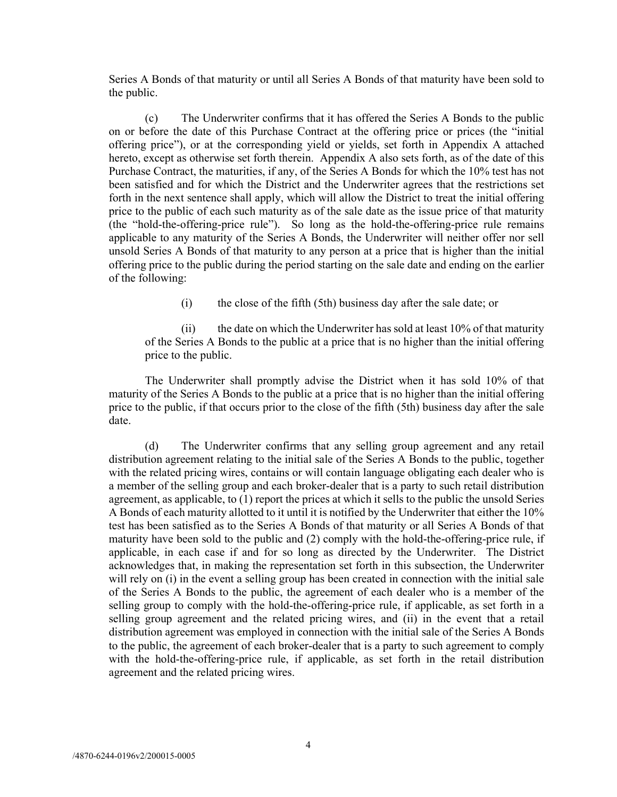Series A Bonds of that maturity or until all Series A Bonds of that maturity have been sold to the public.

(c) The Underwriter confirms that it has offered the Series A Bonds to the public on or before the date of this Purchase Contract at the offering price or prices (the "initial offering price"), or at the corresponding yield or yields, set forth in Appendix A attached hereto, except as otherwise set forth therein. Appendix A also sets forth, as of the date of this Purchase Contract, the maturities, if any, of the Series A Bonds for which the 10% test has not been satisfied and for which the District and the Underwriter agrees that the restrictions set forth in the next sentence shall apply, which will allow the District to treat the initial offering price to the public of each such maturity as of the sale date as the issue price of that maturity (the "hold-the-offering-price rule"). So long as the hold-the-offering-price rule remains applicable to any maturity of the Series A Bonds, the Underwriter will neither offer nor sell unsold Series A Bonds of that maturity to any person at a price that is higher than the initial offering price to the public during the period starting on the sale date and ending on the earlier of the following:

(i) the close of the fifth (5th) business day after the sale date; or

(ii) the date on which the Underwriter has sold at least 10% of that maturity of the Series A Bonds to the public at a price that is no higher than the initial offering price to the public.

The Underwriter shall promptly advise the District when it has sold 10% of that maturity of the Series A Bonds to the public at a price that is no higher than the initial offering price to the public, if that occurs prior to the close of the fifth (5th) business day after the sale date.

(d) The Underwriter confirms that any selling group agreement and any retail distribution agreement relating to the initial sale of the Series A Bonds to the public, together with the related pricing wires, contains or will contain language obligating each dealer who is a member of the selling group and each broker-dealer that is a party to such retail distribution agreement, as applicable, to (1) report the prices at which it sells to the public the unsold Series A Bonds of each maturity allotted to it until it is notified by the Underwriter that either the 10% test has been satisfied as to the Series A Bonds of that maturity or all Series A Bonds of that maturity have been sold to the public and (2) comply with the hold-the-offering-price rule, if applicable, in each case if and for so long as directed by the Underwriter. The District acknowledges that, in making the representation set forth in this subsection, the Underwriter will rely on (i) in the event a selling group has been created in connection with the initial sale of the Series A Bonds to the public, the agreement of each dealer who is a member of the selling group to comply with the hold-the-offering-price rule, if applicable, as set forth in a selling group agreement and the related pricing wires, and (ii) in the event that a retail distribution agreement was employed in connection with the initial sale of the Series A Bonds to the public, the agreement of each broker-dealer that is a party to such agreement to comply with the hold-the-offering-price rule, if applicable, as set forth in the retail distribution agreement and the related pricing wires.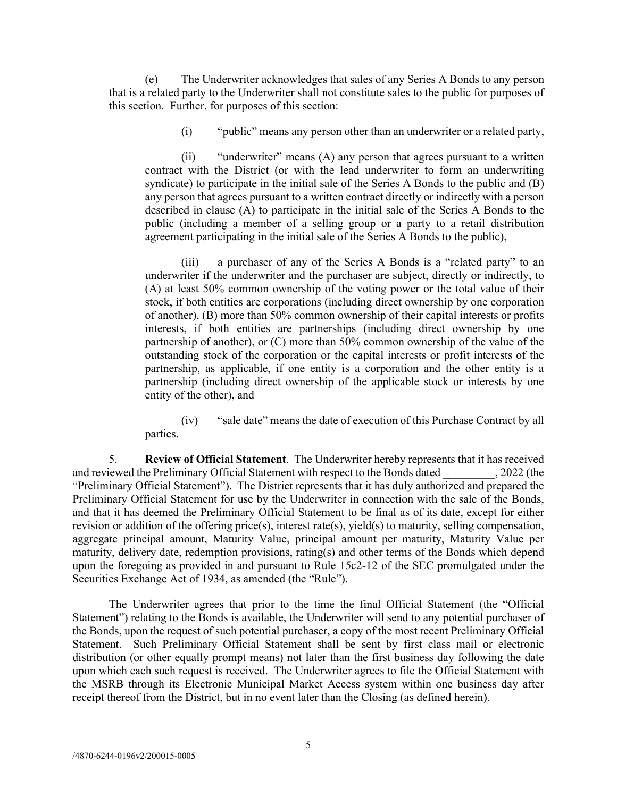(e) The Underwriter acknowledges that sales of any Series A Bonds to any person that is a related party to the Underwriter shall not constitute sales to the public for purposes of this section. Further, for purposes of this section:

(i) "public" means any person other than an underwriter or a related party,

(ii) "underwriter" means (A) any person that agrees pursuant to a written contract with the District (or with the lead underwriter to form an underwriting syndicate) to participate in the initial sale of the Series A Bonds to the public and (B) any person that agrees pursuant to a written contract directly or indirectly with a person described in clause (A) to participate in the initial sale of the Series A Bonds to the public (including a member of a selling group or a party to a retail distribution agreement participating in the initial sale of the Series A Bonds to the public),

(iii) a purchaser of any of the Series A Bonds is a "related party" to an underwriter if the underwriter and the purchaser are subject, directly or indirectly, to (A) at least 50% common ownership of the voting power or the total value of their stock, if both entities are corporations (including direct ownership by one corporation of another), (B) more than 50% common ownership of their capital interests or profits interests, if both entities are partnerships (including direct ownership by one partnership of another), or (C) more than 50% common ownership of the value of the outstanding stock of the corporation or the capital interests or profit interests of the partnership, as applicable, if one entity is a corporation and the other entity is a partnership (including direct ownership of the applicable stock or interests by one entity of the other), and

(iv) "sale date" means the date of execution of this Purchase Contract by all parties.

5. **Review of Official Statement**. The Underwriter hereby represents that it has received and reviewed the Preliminary Official Statement with respect to the Bonds dated . 2022 (the "Preliminary Official Statement"). The District represents that it has duly authorized and prepared the Preliminary Official Statement for use by the Underwriter in connection with the sale of the Bonds, and that it has deemed the Preliminary Official Statement to be final as of its date, except for either revision or addition of the offering price(s), interest rate(s), yield(s) to maturity, selling compensation, aggregate principal amount, Maturity Value, principal amount per maturity, Maturity Value per maturity, delivery date, redemption provisions, rating(s) and other terms of the Bonds which depend upon the foregoing as provided in and pursuant to Rule 15c2-12 of the SEC promulgated under the Securities Exchange Act of 1934, as amended (the "Rule").

The Underwriter agrees that prior to the time the final Official Statement (the "Official Statement") relating to the Bonds is available, the Underwriter will send to any potential purchaser of the Bonds, upon the request of such potential purchaser, a copy of the most recent Preliminary Official Statement. Such Preliminary Official Statement shall be sent by first class mail or electronic distribution (or other equally prompt means) not later than the first business day following the date upon which each such request is received. The Underwriter agrees to file the Official Statement with the MSRB through its Electronic Municipal Market Access system within one business day after receipt thereof from the District, but in no event later than the Closing (as defined herein).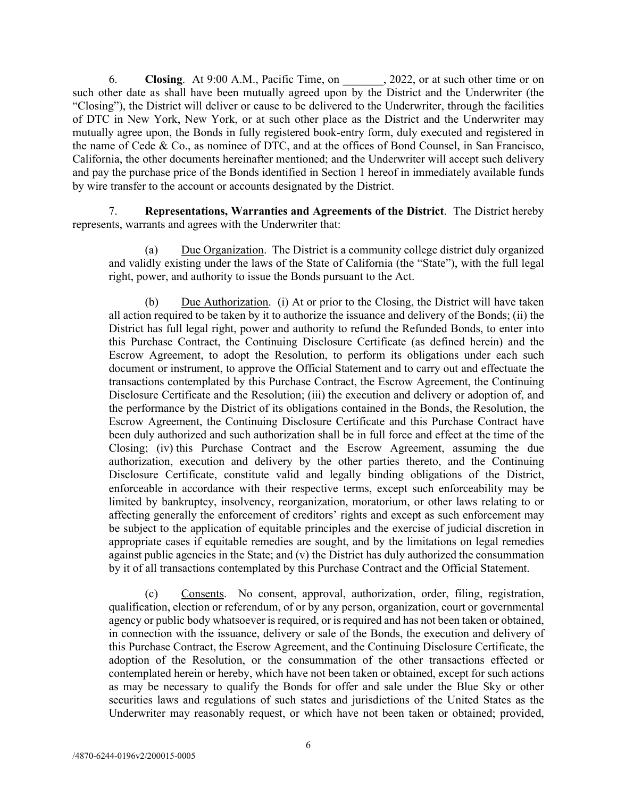6. **Closing**. At 9:00 A.M., Pacific Time, on \_\_\_\_\_\_\_, 2022, or at such other time or on such other date as shall have been mutually agreed upon by the District and the Underwriter (the "Closing"), the District will deliver or cause to be delivered to the Underwriter, through the facilities of DTC in New York, New York, or at such other place as the District and the Underwriter may mutually agree upon, the Bonds in fully registered book-entry form, duly executed and registered in the name of Cede & Co., as nominee of DTC, and at the offices of Bond Counsel, in San Francisco, California, the other documents hereinafter mentioned; and the Underwriter will accept such delivery and pay the purchase price of the Bonds identified in Section 1 hereof in immediately available funds by wire transfer to the account or accounts designated by the District.

7. **Representations, Warranties and Agreements of the District**. The District hereby represents, warrants and agrees with the Underwriter that:

(a) Due Organization. The District is a community college district duly organized and validly existing under the laws of the State of California (the "State"), with the full legal right, power, and authority to issue the Bonds pursuant to the Act.

(b) Due Authorization. (i) At or prior to the Closing, the District will have taken all action required to be taken by it to authorize the issuance and delivery of the Bonds; (ii) the District has full legal right, power and authority to refund the Refunded Bonds, to enter into this Purchase Contract, the Continuing Disclosure Certificate (as defined herein) and the Escrow Agreement, to adopt the Resolution, to perform its obligations under each such document or instrument, to approve the Official Statement and to carry out and effectuate the transactions contemplated by this Purchase Contract, the Escrow Agreement, the Continuing Disclosure Certificate and the Resolution; (iii) the execution and delivery or adoption of, and the performance by the District of its obligations contained in the Bonds, the Resolution, the Escrow Agreement, the Continuing Disclosure Certificate and this Purchase Contract have been duly authorized and such authorization shall be in full force and effect at the time of the Closing; (iv) this Purchase Contract and the Escrow Agreement, assuming the due authorization, execution and delivery by the other parties thereto, and the Continuing Disclosure Certificate, constitute valid and legally binding obligations of the District, enforceable in accordance with their respective terms, except such enforceability may be limited by bankruptcy, insolvency, reorganization, moratorium, or other laws relating to or affecting generally the enforcement of creditors' rights and except as such enforcement may be subject to the application of equitable principles and the exercise of judicial discretion in appropriate cases if equitable remedies are sought, and by the limitations on legal remedies against public agencies in the State; and  $(v)$  the District has duly authorized the consummation by it of all transactions contemplated by this Purchase Contract and the Official Statement.

(c) Consents. No consent, approval, authorization, order, filing, registration, qualification, election or referendum, of or by any person, organization, court or governmental agency or public body whatsoever is required, or is required and has not been taken or obtained, in connection with the issuance, delivery or sale of the Bonds, the execution and delivery of this Purchase Contract, the Escrow Agreement, and the Continuing Disclosure Certificate, the adoption of the Resolution, or the consummation of the other transactions effected or contemplated herein or hereby, which have not been taken or obtained, except for such actions as may be necessary to qualify the Bonds for offer and sale under the Blue Sky or other securities laws and regulations of such states and jurisdictions of the United States as the Underwriter may reasonably request, or which have not been taken or obtained; provided,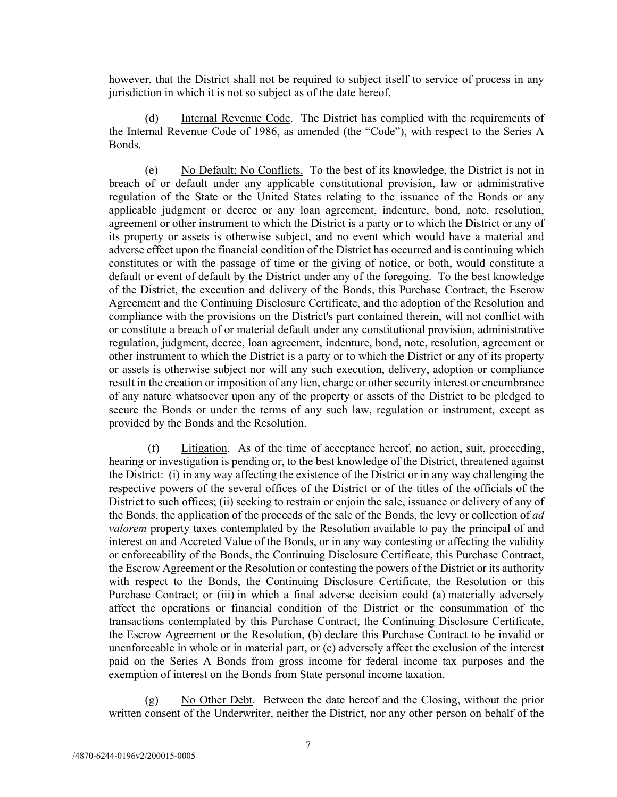however, that the District shall not be required to subject itself to service of process in any jurisdiction in which it is not so subject as of the date hereof.

(d) Internal Revenue Code. The District has complied with the requirements of the Internal Revenue Code of 1986, as amended (the "Code"), with respect to the Series A Bonds.

(e) No Default; No Conflicts. To the best of its knowledge, the District is not in breach of or default under any applicable constitutional provision, law or administrative regulation of the State or the United States relating to the issuance of the Bonds or any applicable judgment or decree or any loan agreement, indenture, bond, note, resolution, agreement or other instrument to which the District is a party or to which the District or any of its property or assets is otherwise subject, and no event which would have a material and adverse effect upon the financial condition of the District has occurred and is continuing which constitutes or with the passage of time or the giving of notice, or both, would constitute a default or event of default by the District under any of the foregoing. To the best knowledge of the District, the execution and delivery of the Bonds, this Purchase Contract, the Escrow Agreement and the Continuing Disclosure Certificate, and the adoption of the Resolution and compliance with the provisions on the District's part contained therein, will not conflict with or constitute a breach of or material default under any constitutional provision, administrative regulation, judgment, decree, loan agreement, indenture, bond, note, resolution, agreement or other instrument to which the District is a party or to which the District or any of its property or assets is otherwise subject nor will any such execution, delivery, adoption or compliance result in the creation or imposition of any lien, charge or other security interest or encumbrance of any nature whatsoever upon any of the property or assets of the District to be pledged to secure the Bonds or under the terms of any such law, regulation or instrument, except as provided by the Bonds and the Resolution.

(f) Litigation. As of the time of acceptance hereof, no action, suit, proceeding, hearing or investigation is pending or, to the best knowledge of the District, threatened against the District: (i) in any way affecting the existence of the District or in any way challenging the respective powers of the several offices of the District or of the titles of the officials of the District to such offices; (ii) seeking to restrain or enjoin the sale, issuance or delivery of any of the Bonds, the application of the proceeds of the sale of the Bonds, the levy or collection of *ad valorem* property taxes contemplated by the Resolution available to pay the principal of and interest on and Accreted Value of the Bonds, or in any way contesting or affecting the validity or enforceability of the Bonds, the Continuing Disclosure Certificate, this Purchase Contract, the Escrow Agreement or the Resolution or contesting the powers of the District or its authority with respect to the Bonds, the Continuing Disclosure Certificate, the Resolution or this Purchase Contract; or (iii) in which a final adverse decision could (a) materially adversely affect the operations or financial condition of the District or the consummation of the transactions contemplated by this Purchase Contract, the Continuing Disclosure Certificate, the Escrow Agreement or the Resolution, (b) declare this Purchase Contract to be invalid or unenforceable in whole or in material part, or (c) adversely affect the exclusion of the interest paid on the Series A Bonds from gross income for federal income tax purposes and the exemption of interest on the Bonds from State personal income taxation.

(g) No Other Debt. Between the date hereof and the Closing, without the prior written consent of the Underwriter, neither the District, nor any other person on behalf of the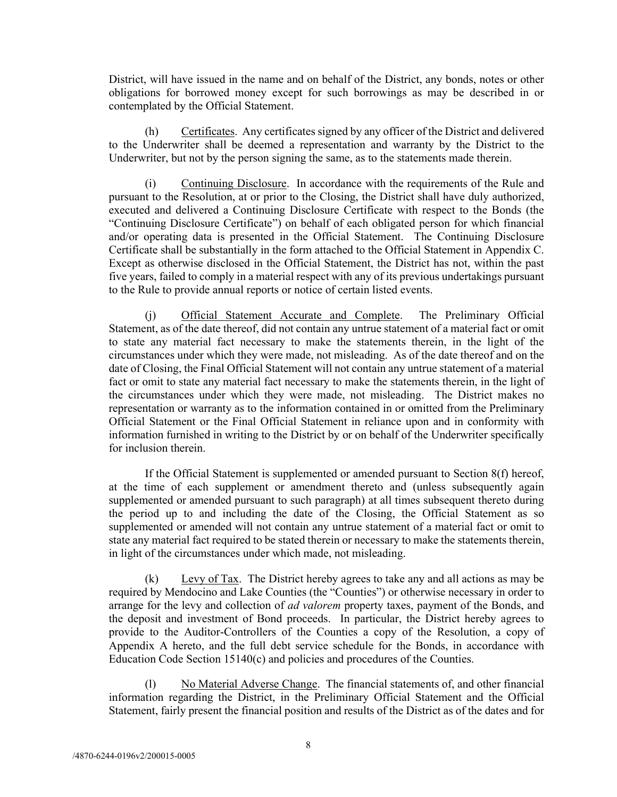District, will have issued in the name and on behalf of the District, any bonds, notes or other obligations for borrowed money except for such borrowings as may be described in or contemplated by the Official Statement.

(h) Certificates. Any certificates signed by any officer of the District and delivered to the Underwriter shall be deemed a representation and warranty by the District to the Underwriter, but not by the person signing the same, as to the statements made therein.

(i) Continuing Disclosure. In accordance with the requirements of the Rule and pursuant to the Resolution, at or prior to the Closing, the District shall have duly authorized, executed and delivered a Continuing Disclosure Certificate with respect to the Bonds (the "Continuing Disclosure Certificate") on behalf of each obligated person for which financial and/or operating data is presented in the Official Statement. The Continuing Disclosure Certificate shall be substantially in the form attached to the Official Statement in Appendix C. Except as otherwise disclosed in the Official Statement, the District has not, within the past five years, failed to comply in a material respect with any of its previous undertakings pursuant to the Rule to provide annual reports or notice of certain listed events.

Official Statement Accurate and Complete. The Preliminary Official Statement, as of the date thereof, did not contain any untrue statement of a material fact or omit to state any material fact necessary to make the statements therein, in the light of the circumstances under which they were made, not misleading. As of the date thereof and on the date of Closing, the Final Official Statement will not contain any untrue statement of a material fact or omit to state any material fact necessary to make the statements therein, in the light of the circumstances under which they were made, not misleading. The District makes no representation or warranty as to the information contained in or omitted from the Preliminary Official Statement or the Final Official Statement in reliance upon and in conformity with information furnished in writing to the District by or on behalf of the Underwriter specifically for inclusion therein.

If the Official Statement is supplemented or amended pursuant to Section 8(f) hereof, at the time of each supplement or amendment thereto and (unless subsequently again supplemented or amended pursuant to such paragraph) at all times subsequent thereto during the period up to and including the date of the Closing, the Official Statement as so supplemented or amended will not contain any untrue statement of a material fact or omit to state any material fact required to be stated therein or necessary to make the statements therein, in light of the circumstances under which made, not misleading.

 $(k)$  Levy of Tax. The District hereby agrees to take any and all actions as may be required by Mendocino and Lake Counties (the "Counties") or otherwise necessary in order to arrange for the levy and collection of *ad valorem* property taxes, payment of the Bonds, and the deposit and investment of Bond proceeds. In particular, the District hereby agrees to provide to the Auditor-Controllers of the Counties a copy of the Resolution, a copy of Appendix A hereto, and the full debt service schedule for the Bonds, in accordance with Education Code Section 15140(c) and policies and procedures of the Counties.

(l) No Material Adverse Change. The financial statements of, and other financial information regarding the District, in the Preliminary Official Statement and the Official Statement, fairly present the financial position and results of the District as of the dates and for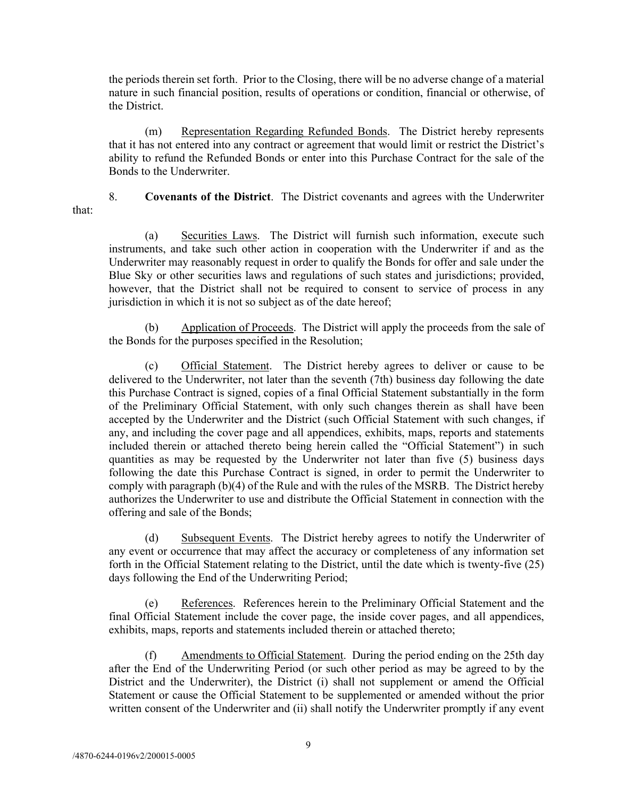the periods therein set forth. Prior to the Closing, there will be no adverse change of a material nature in such financial position, results of operations or condition, financial or otherwise, of the District.

(m) Representation Regarding Refunded Bonds. The District hereby represents that it has not entered into any contract or agreement that would limit or restrict the District's ability to refund the Refunded Bonds or enter into this Purchase Contract for the sale of the Bonds to the Underwriter.

that:

8. **Covenants of the District**. The District covenants and agrees with the Underwriter

(a) Securities Laws. The District will furnish such information, execute such instruments, and take such other action in cooperation with the Underwriter if and as the Underwriter may reasonably request in order to qualify the Bonds for offer and sale under the Blue Sky or other securities laws and regulations of such states and jurisdictions; provided, however, that the District shall not be required to consent to service of process in any jurisdiction in which it is not so subject as of the date hereof;

(b) Application of Proceeds. The District will apply the proceeds from the sale of the Bonds for the purposes specified in the Resolution;

(c) Official Statement. The District hereby agrees to deliver or cause to be delivered to the Underwriter, not later than the seventh (7th) business day following the date this Purchase Contract is signed, copies of a final Official Statement substantially in the form of the Preliminary Official Statement, with only such changes therein as shall have been accepted by the Underwriter and the District (such Official Statement with such changes, if any, and including the cover page and all appendices, exhibits, maps, reports and statements included therein or attached thereto being herein called the "Official Statement") in such quantities as may be requested by the Underwriter not later than five (5) business days following the date this Purchase Contract is signed, in order to permit the Underwriter to comply with paragraph (b)(4) of the Rule and with the rules of the MSRB. The District hereby authorizes the Underwriter to use and distribute the Official Statement in connection with the offering and sale of the Bonds;

(d) Subsequent Events. The District hereby agrees to notify the Underwriter of any event or occurrence that may affect the accuracy or completeness of any information set forth in the Official Statement relating to the District, until the date which is twenty-five (25) days following the End of the Underwriting Period;

(e) References. References herein to the Preliminary Official Statement and the final Official Statement include the cover page, the inside cover pages, and all appendices, exhibits, maps, reports and statements included therein or attached thereto;

(f) Amendments to Official Statement. During the period ending on the 25th day after the End of the Underwriting Period (or such other period as may be agreed to by the District and the Underwriter), the District (i) shall not supplement or amend the Official Statement or cause the Official Statement to be supplemented or amended without the prior written consent of the Underwriter and (ii) shall notify the Underwriter promptly if any event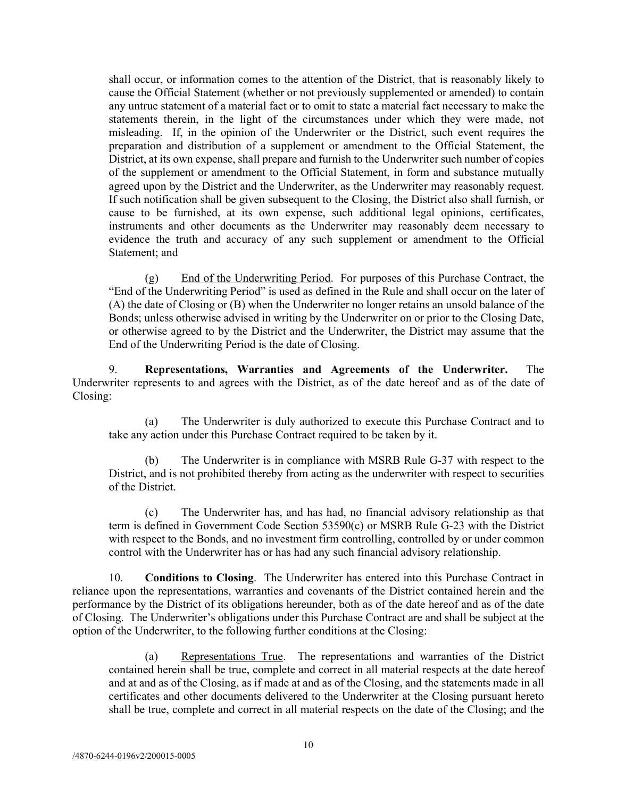shall occur, or information comes to the attention of the District, that is reasonably likely to cause the Official Statement (whether or not previously supplemented or amended) to contain any untrue statement of a material fact or to omit to state a material fact necessary to make the statements therein, in the light of the circumstances under which they were made, not misleading. If, in the opinion of the Underwriter or the District, such event requires the preparation and distribution of a supplement or amendment to the Official Statement, the District, at its own expense, shall prepare and furnish to the Underwriter such number of copies of the supplement or amendment to the Official Statement, in form and substance mutually agreed upon by the District and the Underwriter, as the Underwriter may reasonably request. If such notification shall be given subsequent to the Closing, the District also shall furnish, or cause to be furnished, at its own expense, such additional legal opinions, certificates, instruments and other documents as the Underwriter may reasonably deem necessary to evidence the truth and accuracy of any such supplement or amendment to the Official Statement; and

(g) End of the Underwriting Period. For purposes of this Purchase Contract, the "End of the Underwriting Period" is used as defined in the Rule and shall occur on the later of (A) the date of Closing or (B) when the Underwriter no longer retains an unsold balance of the Bonds; unless otherwise advised in writing by the Underwriter on or prior to the Closing Date, or otherwise agreed to by the District and the Underwriter, the District may assume that the End of the Underwriting Period is the date of Closing.

9. **Representations, Warranties and Agreements of the Underwriter.** The Underwriter represents to and agrees with the District, as of the date hereof and as of the date of Closing:

(a) The Underwriter is duly authorized to execute this Purchase Contract and to take any action under this Purchase Contract required to be taken by it.

(b) The Underwriter is in compliance with MSRB Rule G-37 with respect to the District, and is not prohibited thereby from acting as the underwriter with respect to securities of the District.

(c) The Underwriter has, and has had, no financial advisory relationship as that term is defined in Government Code Section 53590(c) or MSRB Rule G-23 with the District with respect to the Bonds, and no investment firm controlling, controlled by or under common control with the Underwriter has or has had any such financial advisory relationship.

10. **Conditions to Closing**. The Underwriter has entered into this Purchase Contract in reliance upon the representations, warranties and covenants of the District contained herein and the performance by the District of its obligations hereunder, both as of the date hereof and as of the date of Closing. The Underwriter's obligations under this Purchase Contract are and shall be subject at the option of the Underwriter, to the following further conditions at the Closing:

(a) Representations True. The representations and warranties of the District contained herein shall be true, complete and correct in all material respects at the date hereof and at and as of the Closing, as if made at and as of the Closing, and the statements made in all certificates and other documents delivered to the Underwriter at the Closing pursuant hereto shall be true, complete and correct in all material respects on the date of the Closing; and the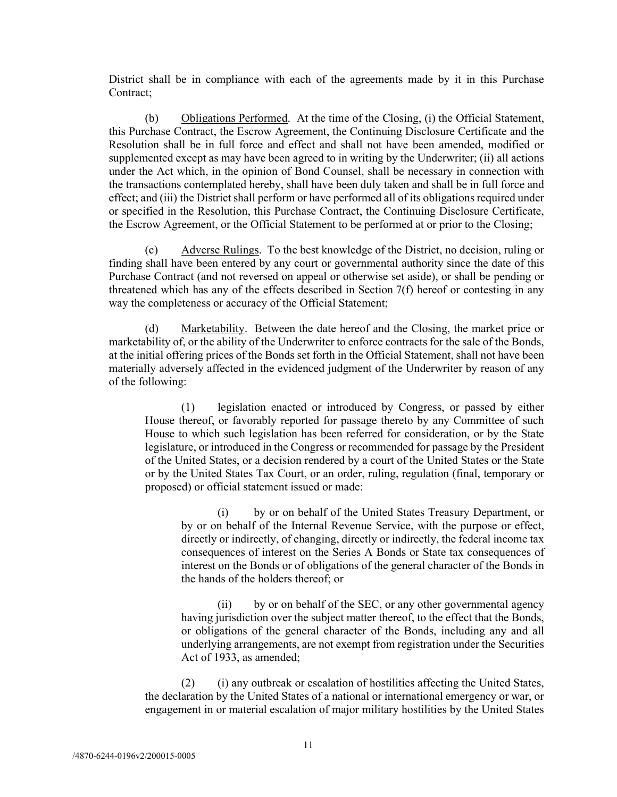District shall be in compliance with each of the agreements made by it in this Purchase Contract;

(b) Obligations Performed. At the time of the Closing, (i) the Official Statement, this Purchase Contract, the Escrow Agreement, the Continuing Disclosure Certificate and the Resolution shall be in full force and effect and shall not have been amended, modified or supplemented except as may have been agreed to in writing by the Underwriter; (ii) all actions under the Act which, in the opinion of Bond Counsel, shall be necessary in connection with the transactions contemplated hereby, shall have been duly taken and shall be in full force and effect; and (iii) the District shall perform or have performed all of its obligations required under or specified in the Resolution, this Purchase Contract, the Continuing Disclosure Certificate, the Escrow Agreement, or the Official Statement to be performed at or prior to the Closing;

Adverse Rulings. To the best knowledge of the District, no decision, ruling or finding shall have been entered by any court or governmental authority since the date of this Purchase Contract (and not reversed on appeal or otherwise set aside), or shall be pending or threatened which has any of the effects described in Section 7(f) hereof or contesting in any way the completeness or accuracy of the Official Statement;

(d) Marketability. Between the date hereof and the Closing, the market price or marketability of, or the ability of the Underwriter to enforce contracts for the sale of the Bonds, at the initial offering prices of the Bonds set forth in the Official Statement, shall not have been materially adversely affected in the evidenced judgment of the Underwriter by reason of any of the following:

(1) legislation enacted or introduced by Congress, or passed by either House thereof, or favorably reported for passage thereto by any Committee of such House to which such legislation has been referred for consideration, or by the State legislature, or introduced in the Congress or recommended for passage by the President of the United States, or a decision rendered by a court of the United States or the State or by the United States Tax Court, or an order, ruling, regulation (final, temporary or proposed) or official statement issued or made:

(i) by or on behalf of the United States Treasury Department, or by or on behalf of the Internal Revenue Service, with the purpose or effect, directly or indirectly, of changing, directly or indirectly, the federal income tax consequences of interest on the Series A Bonds or State tax consequences of interest on the Bonds or of obligations of the general character of the Bonds in the hands of the holders thereof; or

(ii) by or on behalf of the SEC, or any other governmental agency having jurisdiction over the subject matter thereof, to the effect that the Bonds, or obligations of the general character of the Bonds, including any and all underlying arrangements, are not exempt from registration under the Securities Act of 1933, as amended;

(2) (i) any outbreak or escalation of hostilities affecting the United States, the declaration by the United States of a national or international emergency or war, or engagement in or material escalation of major military hostilities by the United States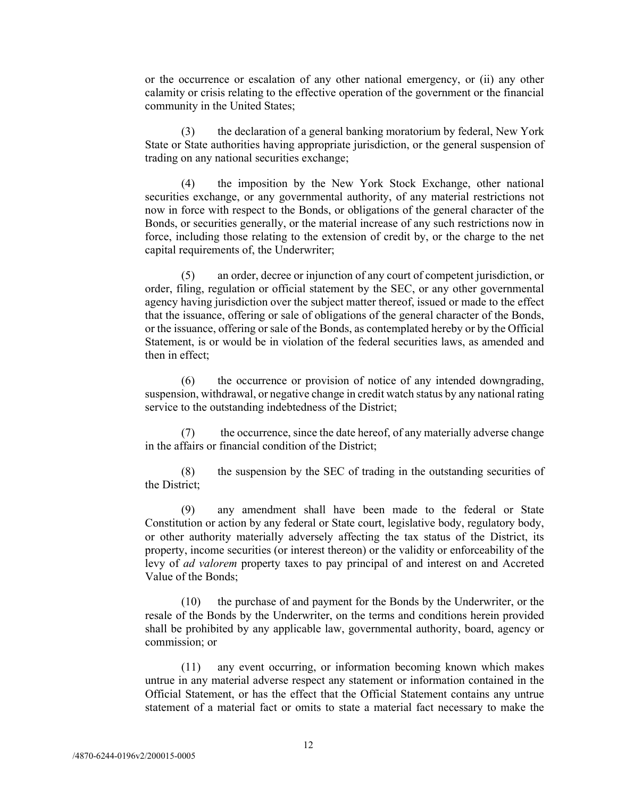or the occurrence or escalation of any other national emergency, or (ii) any other calamity or crisis relating to the effective operation of the government or the financial community in the United States;

(3) the declaration of a general banking moratorium by federal, New York State or State authorities having appropriate jurisdiction, or the general suspension of trading on any national securities exchange;

(4) the imposition by the New York Stock Exchange, other national securities exchange, or any governmental authority, of any material restrictions not now in force with respect to the Bonds, or obligations of the general character of the Bonds, or securities generally, or the material increase of any such restrictions now in force, including those relating to the extension of credit by, or the charge to the net capital requirements of, the Underwriter;

(5) an order, decree or injunction of any court of competent jurisdiction, or order, filing, regulation or official statement by the SEC, or any other governmental agency having jurisdiction over the subject matter thereof, issued or made to the effect that the issuance, offering or sale of obligations of the general character of the Bonds, or the issuance, offering or sale of the Bonds, as contemplated hereby or by the Official Statement, is or would be in violation of the federal securities laws, as amended and then in effect;

(6) the occurrence or provision of notice of any intended downgrading, suspension, withdrawal, or negative change in credit watch status by any national rating service to the outstanding indebtedness of the District;

(7) the occurrence, since the date hereof, of any materially adverse change in the affairs or financial condition of the District;

(8) the suspension by the SEC of trading in the outstanding securities of the District;

(9) any amendment shall have been made to the federal or State Constitution or action by any federal or State court, legislative body, regulatory body, or other authority materially adversely affecting the tax status of the District, its property, income securities (or interest thereon) or the validity or enforceability of the levy of *ad valorem* property taxes to pay principal of and interest on and Accreted Value of the Bonds;

(10) the purchase of and payment for the Bonds by the Underwriter, or the resale of the Bonds by the Underwriter, on the terms and conditions herein provided shall be prohibited by any applicable law, governmental authority, board, agency or commission; or

(11) any event occurring, or information becoming known which makes untrue in any material adverse respect any statement or information contained in the Official Statement, or has the effect that the Official Statement contains any untrue statement of a material fact or omits to state a material fact necessary to make the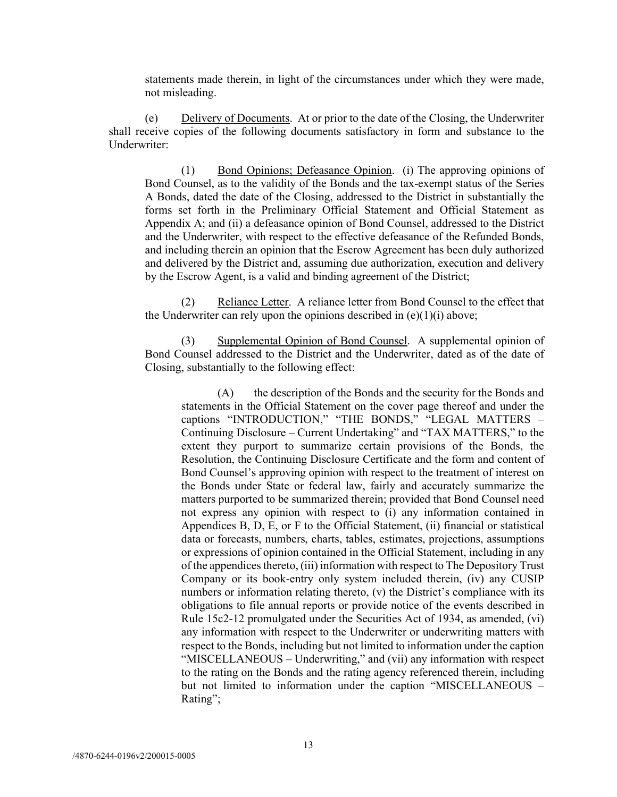statements made therein, in light of the circumstances under which they were made, not misleading.

(e) Delivery of Documents. At or prior to the date of the Closing, the Underwriter shall receive copies of the following documents satisfactory in form and substance to the Underwriter:

(1) Bond Opinions; Defeasance Opinion. (i) The approving opinions of Bond Counsel, as to the validity of the Bonds and the tax-exempt status of the Series A Bonds, dated the date of the Closing, addressed to the District in substantially the forms set forth in the Preliminary Official Statement and Official Statement as Appendix A; and (ii) a defeasance opinion of Bond Counsel, addressed to the District and the Underwriter, with respect to the effective defeasance of the Refunded Bonds, and including therein an opinion that the Escrow Agreement has been duly authorized and delivered by the District and, assuming due authorization, execution and delivery by the Escrow Agent, is a valid and binding agreement of the District;

(2) Reliance Letter. A reliance letter from Bond Counsel to the effect that the Underwriter can rely upon the opinions described in  $(e)(1)(i)$  above;

(3) Supplemental Opinion of Bond Counsel. A supplemental opinion of Bond Counsel addressed to the District and the Underwriter, dated as of the date of Closing, substantially to the following effect:

(A) the description of the Bonds and the security for the Bonds and statements in the Official Statement on the cover page thereof and under the captions "INTRODUCTION," "THE BONDS," "LEGAL MATTERS -Continuing Disclosure – Current Undertaking" and "TAX MATTERS," to the extent they purport to summarize certain provisions of the Bonds, the Resolution, the Continuing Disclosure Certificate and the form and content of Bond Counsel's approving opinion with respect to the treatment of interest on the Bonds under State or federal law, fairly and accurately summarize the matters purported to be summarized therein; provided that Bond Counsel need not express any opinion with respect to (i) any information contained in Appendices B, D, E, or F to the Official Statement, (ii) financial or statistical data or forecasts, numbers, charts, tables, estimates, projections, assumptions or expressions of opinion contained in the Official Statement, including in any of the appendices thereto, (iii) information with respect to The Depository Trust Company or its book-entry only system included therein, (iv) any CUSIP numbers or information relating thereto, (v) the District's compliance with its obligations to file annual reports or provide notice of the events described in Rule 15c2-12 promulgated under the Securities Act of 1934, as amended, (vi) any information with respect to the Underwriter or underwriting matters with respect to the Bonds, including but not limited to information under the caption "MISCELLANEOUS – Underwriting," and (vii) any information with respect to the rating on the Bonds and the rating agency referenced therein, including but not limited to information under the caption "MISCELLANEOUS – Rating";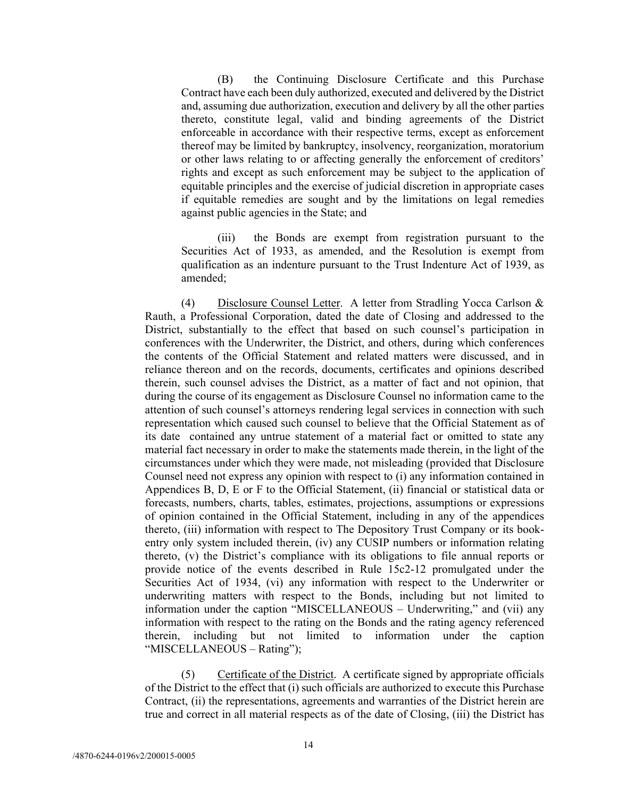(B) the Continuing Disclosure Certificate and this Purchase Contract have each been duly authorized, executed and delivered by the District and, assuming due authorization, execution and delivery by all the other parties thereto, constitute legal, valid and binding agreements of the District enforceable in accordance with their respective terms, except as enforcement thereof may be limited by bankruptcy, insolvency, reorganization, moratorium or other laws relating to or affecting generally the enforcement of creditors' rights and except as such enforcement may be subject to the application of equitable principles and the exercise of judicial discretion in appropriate cases if equitable remedies are sought and by the limitations on legal remedies against public agencies in the State; and

(iii) the Bonds are exempt from registration pursuant to the Securities Act of 1933, as amended, and the Resolution is exempt from qualification as an indenture pursuant to the Trust Indenture Act of 1939, as amended;

(4) Disclosure Counsel Letter. A letter from Stradling Yocca Carlson & Rauth, a Professional Corporation, dated the date of Closing and addressed to the District, substantially to the effect that based on such counsel's participation in conferences with the Underwriter, the District, and others, during which conferences the contents of the Official Statement and related matters were discussed, and in reliance thereon and on the records, documents, certificates and opinions described therein, such counsel advises the District, as a matter of fact and not opinion, that during the course of its engagement as Disclosure Counsel no information came to the attention of such counsel's attorneys rendering legal services in connection with such representation which caused such counsel to believe that the Official Statement as of its date contained any untrue statement of a material fact or omitted to state any material fact necessary in order to make the statements made therein, in the light of the circumstances under which they were made, not misleading (provided that Disclosure Counsel need not express any opinion with respect to (i) any information contained in Appendices B, D, E or F to the Official Statement, (ii) financial or statistical data or forecasts, numbers, charts, tables, estimates, projections, assumptions or expressions of opinion contained in the Official Statement, including in any of the appendices thereto, (iii) information with respect to The Depository Trust Company or its bookentry only system included therein, (iv) any CUSIP numbers or information relating thereto, (v) the District's compliance with its obligations to file annual reports or provide notice of the events described in Rule 15c2-12 promulgated under the Securities Act of 1934, (vi) any information with respect to the Underwriter or underwriting matters with respect to the Bonds, including but not limited to information under the caption "MISCELLANEOUS – Underwriting," and (vii) any information with respect to the rating on the Bonds and the rating agency referenced therein, including but not limited to information under the caption "MISCELLANEOUS – Rating");

(5) Certificate of the District. A certificate signed by appropriate officials of the District to the effect that (i) such officials are authorized to execute this Purchase Contract, (ii) the representations, agreements and warranties of the District herein are true and correct in all material respects as of the date of Closing, (iii) the District has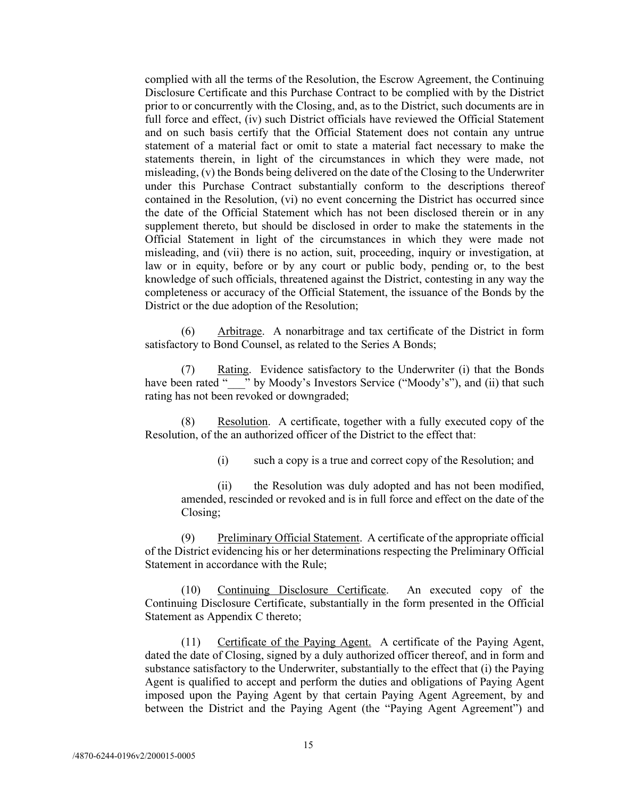complied with all the terms of the Resolution, the Escrow Agreement, the Continuing Disclosure Certificate and this Purchase Contract to be complied with by the District prior to or concurrently with the Closing, and, as to the District, such documents are in full force and effect, (iv) such District officials have reviewed the Official Statement and on such basis certify that the Official Statement does not contain any untrue statement of a material fact or omit to state a material fact necessary to make the statements therein, in light of the circumstances in which they were made, not misleading, (v) the Bonds being delivered on the date of the Closing to the Underwriter under this Purchase Contract substantially conform to the descriptions thereof contained in the Resolution, (vi) no event concerning the District has occurred since the date of the Official Statement which has not been disclosed therein or in any supplement thereto, but should be disclosed in order to make the statements in the Official Statement in light of the circumstances in which they were made not misleading, and (vii) there is no action, suit, proceeding, inquiry or investigation, at law or in equity, before or by any court or public body, pending or, to the best knowledge of such officials, threatened against the District, contesting in any way the completeness or accuracy of the Official Statement, the issuance of the Bonds by the District or the due adoption of the Resolution;

(6) Arbitrage. A nonarbitrage and tax certificate of the District in form satisfactory to Bond Counsel, as related to the Series A Bonds;

(7) Rating. Evidence satisfactory to the Underwriter (i) that the Bonds have been rated " \_\_\_" by Moody's Investors Service ("Moody's"), and (ii) that such rating has not been revoked or downgraded;

Resolution. A certificate, together with a fully executed copy of the Resolution, of the an authorized officer of the District to the effect that:

(i) such a copy is a true and correct copy of the Resolution; and

(ii) the Resolution was duly adopted and has not been modified, amended, rescinded or revoked and is in full force and effect on the date of the Closing;

(9) Preliminary Official Statement. A certificate of the appropriate official of the District evidencing his or her determinations respecting the Preliminary Official Statement in accordance with the Rule;

(10) Continuing Disclosure Certificate. An executed copy of the Continuing Disclosure Certificate, substantially in the form presented in the Official Statement as Appendix C thereto;

(11) Certificate of the Paying Agent. A certificate of the Paying Agent, dated the date of Closing, signed by a duly authorized officer thereof, and in form and substance satisfactory to the Underwriter, substantially to the effect that (i) the Paying Agent is qualified to accept and perform the duties and obligations of Paying Agent imposed upon the Paying Agent by that certain Paying Agent Agreement, by and between the District and the Paying Agent (the "Paying Agent Agreement") and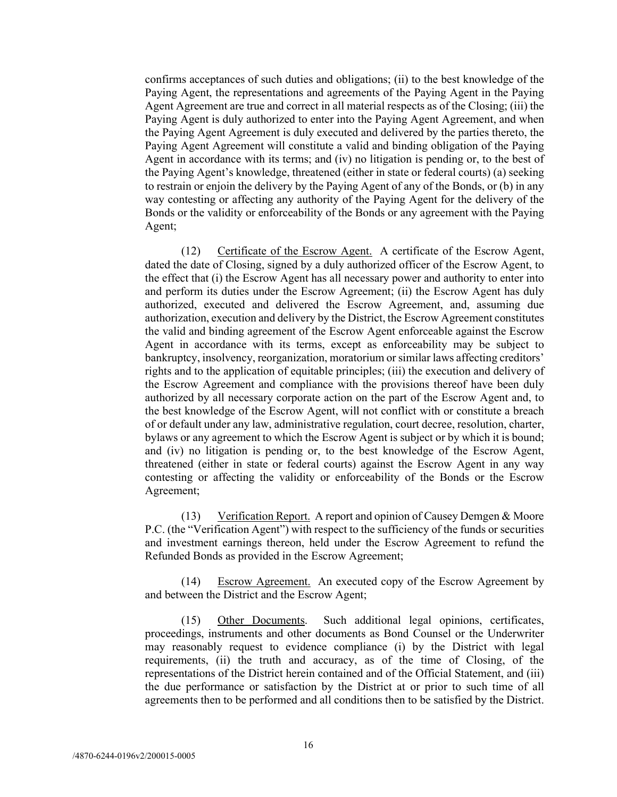confirms acceptances of such duties and obligations; (ii) to the best knowledge of the Paying Agent, the representations and agreements of the Paying Agent in the Paying Agent Agreement are true and correct in all material respects as of the Closing; (iii) the Paying Agent is duly authorized to enter into the Paying Agent Agreement, and when the Paying Agent Agreement is duly executed and delivered by the parties thereto, the Paying Agent Agreement will constitute a valid and binding obligation of the Paying Agent in accordance with its terms; and (iv) no litigation is pending or, to the best of the Paying Agent's knowledge, threatened (either in state or federal courts) (a) seeking to restrain or enjoin the delivery by the Paying Agent of any of the Bonds, or (b) in any way contesting or affecting any authority of the Paying Agent for the delivery of the Bonds or the validity or enforceability of the Bonds or any agreement with the Paying Agent;

(12) Certificate of the Escrow Agent. A certificate of the Escrow Agent, dated the date of Closing, signed by a duly authorized officer of the Escrow Agent, to the effect that (i) the Escrow Agent has all necessary power and authority to enter into and perform its duties under the Escrow Agreement; (ii) the Escrow Agent has duly authorized, executed and delivered the Escrow Agreement, and, assuming due authorization, execution and delivery by the District, the Escrow Agreement constitutes the valid and binding agreement of the Escrow Agent enforceable against the Escrow Agent in accordance with its terms, except as enforceability may be subject to bankruptcy, insolvency, reorganization, moratorium or similar laws affecting creditors' rights and to the application of equitable principles; (iii) the execution and delivery of the Escrow Agreement and compliance with the provisions thereof have been duly authorized by all necessary corporate action on the part of the Escrow Agent and, to the best knowledge of the Escrow Agent, will not conflict with or constitute a breach of or default under any law, administrative regulation, court decree, resolution, charter, bylaws or any agreement to which the Escrow Agent is subject or by which it is bound; and (iv) no litigation is pending or, to the best knowledge of the Escrow Agent, threatened (either in state or federal courts) against the Escrow Agent in any way contesting or affecting the validity or enforceability of the Bonds or the Escrow Agreement;

(13) Verification Report. A report and opinion of Causey Demgen & Moore P.C. (the "Verification Agent") with respect to the sufficiency of the funds or securities and investment earnings thereon, held under the Escrow Agreement to refund the Refunded Bonds as provided in the Escrow Agreement;

(14) Escrow Agreement. An executed copy of the Escrow Agreement by and between the District and the Escrow Agent;

(15) Other Documents. Such additional legal opinions, certificates, proceedings, instruments and other documents as Bond Counsel or the Underwriter may reasonably request to evidence compliance (i) by the District with legal requirements, (ii) the truth and accuracy, as of the time of Closing, of the representations of the District herein contained and of the Official Statement, and (iii) the due performance or satisfaction by the District at or prior to such time of all agreements then to be performed and all conditions then to be satisfied by the District.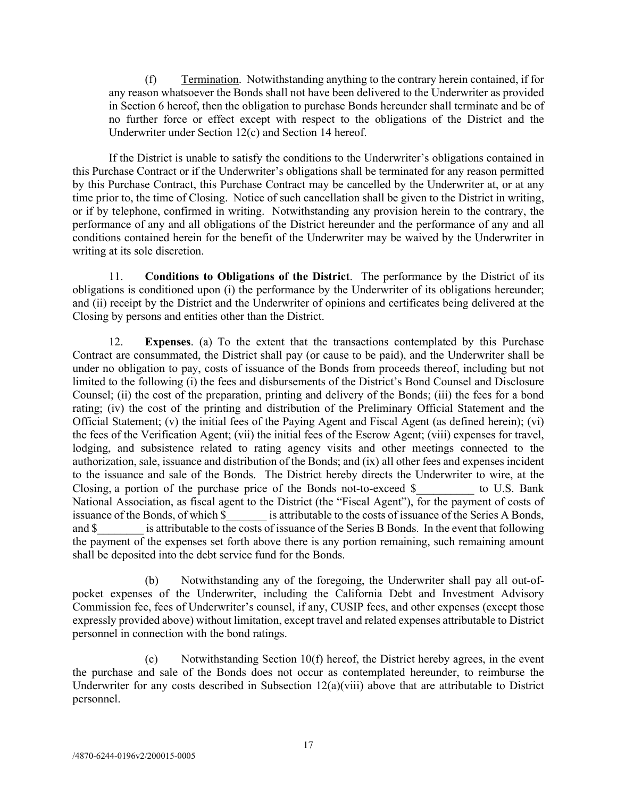(f) Termination. Notwithstanding anything to the contrary herein contained, if for any reason whatsoever the Bonds shall not have been delivered to the Underwriter as provided in Section 6 hereof, then the obligation to purchase Bonds hereunder shall terminate and be of no further force or effect except with respect to the obligations of the District and the Underwriter under Section 12(c) and Section 14 hereof.

If the District is unable to satisfy the conditions to the Underwriter's obligations contained in this Purchase Contract or if the Underwriter's obligations shall be terminated for any reason permitted by this Purchase Contract, this Purchase Contract may be cancelled by the Underwriter at, or at any time prior to, the time of Closing. Notice of such cancellation shall be given to the District in writing, or if by telephone, confirmed in writing. Notwithstanding any provision herein to the contrary, the performance of any and all obligations of the District hereunder and the performance of any and all conditions contained herein for the benefit of the Underwriter may be waived by the Underwriter in writing at its sole discretion.

11. **Conditions to Obligations of the District**. The performance by the District of its obligations is conditioned upon (i) the performance by the Underwriter of its obligations hereunder; and (ii) receipt by the District and the Underwriter of opinions and certificates being delivered at the Closing by persons and entities other than the District.

12. **Expenses**. (a) To the extent that the transactions contemplated by this Purchase Contract are consummated, the District shall pay (or cause to be paid), and the Underwriter shall be under no obligation to pay, costs of issuance of the Bonds from proceeds thereof, including but not limited to the following (i) the fees and disbursements of the District's Bond Counsel and Disclosure Counsel; (ii) the cost of the preparation, printing and delivery of the Bonds; (iii) the fees for a bond rating; (iv) the cost of the printing and distribution of the Preliminary Official Statement and the Official Statement; (v) the initial fees of the Paying Agent and Fiscal Agent (as defined herein); (vi) the fees of the Verification Agent; (vii) the initial fees of the Escrow Agent; (viii) expenses for travel, lodging, and subsistence related to rating agency visits and other meetings connected to the authorization, sale, issuance and distribution of the Bonds; and (ix) all other fees and expenses incident to the issuance and sale of the Bonds. The District hereby directs the Underwriter to wire, at the Closing, a portion of the purchase price of the Bonds not-to-exceed  $\beta$  to U.S. Bank National Association, as fiscal agent to the District (the "Fiscal Agent"), for the payment of costs of issuance of the Bonds, of which \$ is attributable to the costs of issuance of the Series A Bonds, is attributable to the costs of issuance of the Series A Bonds, and \$ is attributable to the costs of issuance of the Series B Bonds. In the event that following the payment of the expenses set forth above there is any portion remaining, such remaining amount shall be deposited into the debt service fund for the Bonds.

(b) Notwithstanding any of the foregoing, the Underwriter shall pay all out-ofpocket expenses of the Underwriter, including the California Debt and Investment Advisory Commission fee, fees of Underwriter's counsel, if any, CUSIP fees, and other expenses (except those expressly provided above) without limitation, except travel and related expenses attributable to District personnel in connection with the bond ratings.

(c) Notwithstanding Section 10(f) hereof, the District hereby agrees, in the event the purchase and sale of the Bonds does not occur as contemplated hereunder, to reimburse the Underwriter for any costs described in Subsection 12(a)(viii) above that are attributable to District personnel.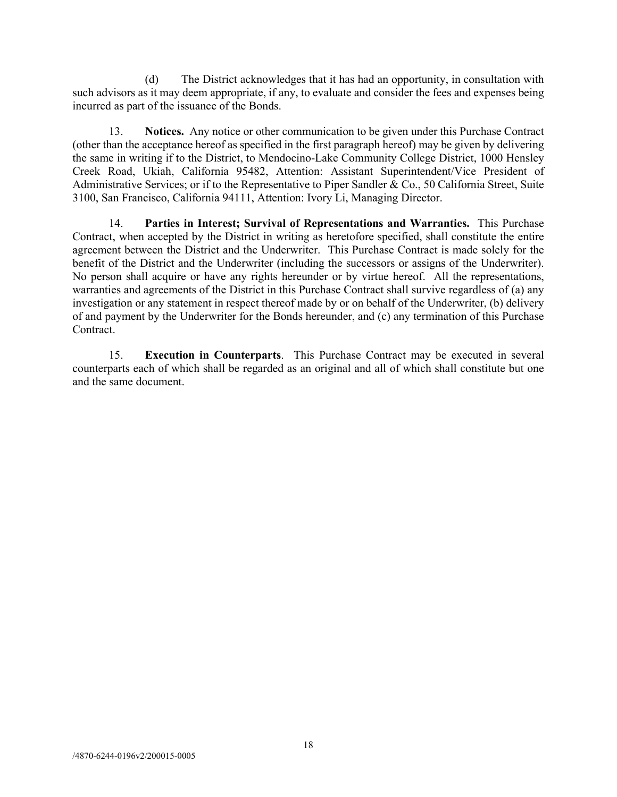(d) The District acknowledges that it has had an opportunity, in consultation with such advisors as it may deem appropriate, if any, to evaluate and consider the fees and expenses being incurred as part of the issuance of the Bonds.

13. **Notices.** Any notice or other communication to be given under this Purchase Contract (other than the acceptance hereof as specified in the first paragraph hereof) may be given by delivering the same in writing if to the District, to Mendocino-Lake Community College District, 1000 Hensley Creek Road, Ukiah, California 95482, Attention: Assistant Superintendent/Vice President of Administrative Services; or if to the Representative to Piper Sandler & Co., 50 California Street, Suite 3100, San Francisco, California 94111, Attention: Ivory Li, Managing Director.

14. **Parties in Interest; Survival of Representations and Warranties.** This Purchase Contract, when accepted by the District in writing as heretofore specified, shall constitute the entire agreement between the District and the Underwriter. This Purchase Contract is made solely for the benefit of the District and the Underwriter (including the successors or assigns of the Underwriter). No person shall acquire or have any rights hereunder or by virtue hereof. All the representations, warranties and agreements of the District in this Purchase Contract shall survive regardless of (a) any investigation or any statement in respect thereof made by or on behalf of the Underwriter, (b) delivery of and payment by the Underwriter for the Bonds hereunder, and (c) any termination of this Purchase Contract.

15. **Execution in Counterparts**. This Purchase Contract may be executed in several counterparts each of which shall be regarded as an original and all of which shall constitute but one and the same document.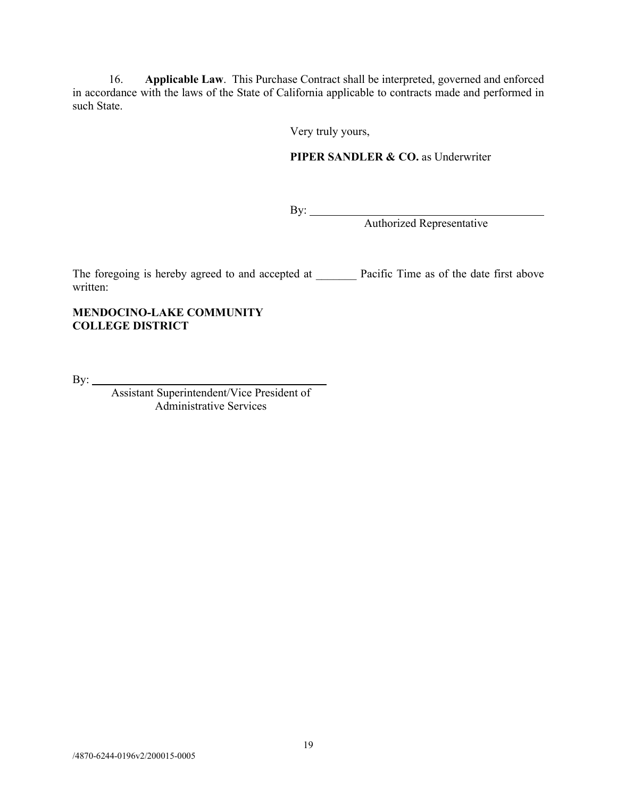16. **Applicable Law**. This Purchase Contract shall be interpreted, governed and enforced in accordance with the laws of the State of California applicable to contracts made and performed in such State.

Very truly yours,

# **PIPER SANDLER & CO. as Underwriter**

By:

Authorized Representative

The foregoing is hereby agreed to and accepted at Pacific Time as of the date first above written:

## **MENDOCINO-LAKE COMMUNITY COLLEGE DISTRICT**

By:

Assistant Superintendent/Vice President of Administrative Services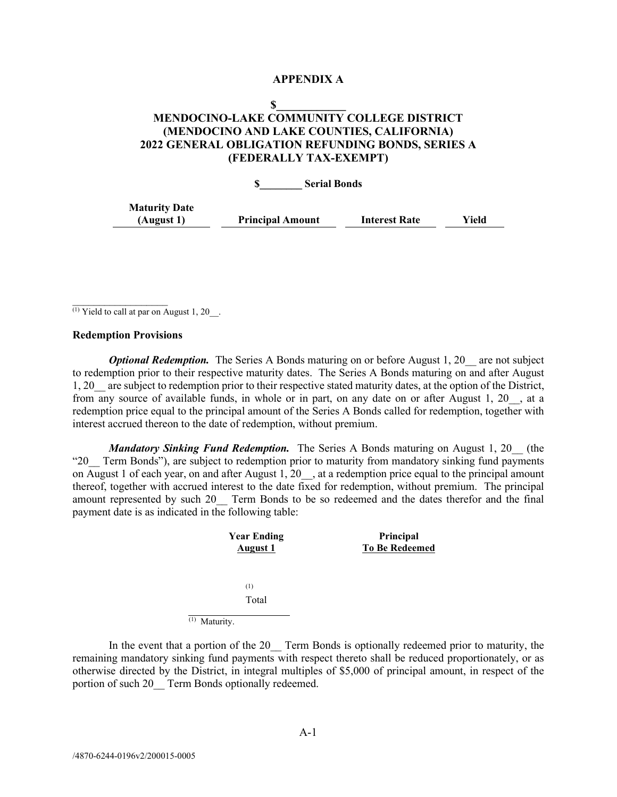#### **APPENDIX A**

### **\$\_\_\_\_\_\_\_\_\_\_\_\_ MENDOCINO-LAKE COMMUNITY COLLEGE DISTRICT (MENDOCINO AND LAKE COUNTIES, CALIFORNIA) 2022 GENERAL OBLIGATION REFUNDING BONDS, SERIES A (FEDERALLY TAX-EXEMPT)**

**\$\_\_\_\_\_\_\_\_ Serial Bonds**

| <b>Maturity Date</b> |                         |                      |       |
|----------------------|-------------------------|----------------------|-------|
| (August 1)           | <b>Principal Amount</b> | <b>Interest Rate</b> | Yield |

<sup>(1)</sup> Yield to call at par on August 1, 20 $\;\;\;$ .

#### **Redemption Provisions**

 $\frac{1}{2}$ 

*Optional Redemption.* The Series A Bonds maturing on or before August 1, 20 are not subject to redemption prior to their respective maturity dates. The Series A Bonds maturing on and after August 1, 20\_\_ are subject to redemption prior to their respective stated maturity dates, at the option of the District, from any source of available funds, in whole or in part, on any date on or after August 1, 20\_\_, at a redemption price equal to the principal amount of the Series A Bonds called for redemption, together with interest accrued thereon to the date of redemption, without premium.

*Mandatory Sinking Fund Redemption.* The Series A Bonds maturing on August 1, 20 (the "20\_\_ Term Bonds"), are subject to redemption prior to maturity from mandatory sinking fund payments on August 1 of each year, on and after August 1, 20 , at a redemption price equal to the principal amount thereof, together with accrued interest to the date fixed for redemption, without premium. The principal amount represented by such 20 Term Bonds to be so redeemed and the dates therefor and the final payment date is as indicated in the following table:

| <b>Year Ending</b><br><b>August 1</b> | Principal<br><b>To Be Redeemed</b> |
|---------------------------------------|------------------------------------|
| (1)                                   |                                    |
| Total                                 |                                    |
| (1)<br>Maturity.                      |                                    |

In the event that a portion of the 20 Term Bonds is optionally redeemed prior to maturity, the remaining mandatory sinking fund payments with respect thereto shall be reduced proportionately, or as otherwise directed by the District, in integral multiples of \$5,000 of principal amount, in respect of the portion of such 20 Term Bonds optionally redeemed.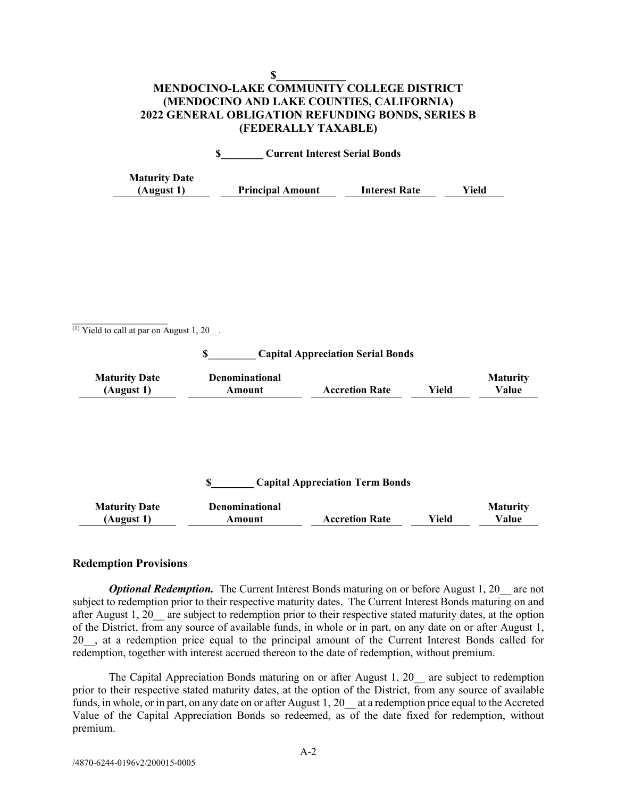### **\$\_\_\_\_\_\_\_\_\_\_\_\_ MENDOCINO-LAKE COMMUNITY COLLEGE DISTRICT (MENDOCINO AND LAKE COUNTIES, CALIFORNIA) 2022 GENERAL OBLIGATION REFUNDING BONDS, SERIES B (FEDERALLY TAXABLE)**

| <b>Current Interest Serial Bonds</b> |                         |                      |       |
|--------------------------------------|-------------------------|----------------------|-------|
| <b>Maturity Date</b><br>(August 1)   | <b>Principal Amount</b> | <b>Interest Rate</b> | Yield |

 $(1)$  Yield to call at par on August 1, 20\_\_.

 $\frac{1}{2}$ 

**\$\_\_\_\_\_\_\_\_\_ Capital Appreciation Serial Bonds**

| <b>Maturity Date</b> | Denominational |                       |       | Maturity |
|----------------------|----------------|-----------------------|-------|----------|
| (August 1)           | Amount         | <b>Accretion Rate</b> | Yield | Value    |

### **\$\_\_\_\_\_\_\_\_ Capital Appreciation Term Bonds**

| <b>Maturity Date</b> | Denominational |                       |       | <b>Maturity</b> |
|----------------------|----------------|-----------------------|-------|-----------------|
| (August 1)           | Amount         | <b>Accretion Rate</b> | Yield | Value           |

#### **Redemption Provisions**

*Optional Redemption.* The Current Interest Bonds maturing on or before August 1, 20 are not subject to redemption prior to their respective maturity dates. The Current Interest Bonds maturing on and after August 1, 20 are subject to redemption prior to their respective stated maturity dates, at the option of the District, from any source of available funds, in whole or in part, on any date on or after August 1, 20\_\_, at a redemption price equal to the principal amount of the Current Interest Bonds called for redemption, together with interest accrued thereon to the date of redemption, without premium.

The Capital Appreciation Bonds maturing on or after August 1, 20 are subject to redemption prior to their respective stated maturity dates, at the option of the District, from any source of available funds, in whole, or in part, on any date on or after August 1, 20 at a redemption price equal to the Accreted Value of the Capital Appreciation Bonds so redeemed, as of the date fixed for redemption, without premium.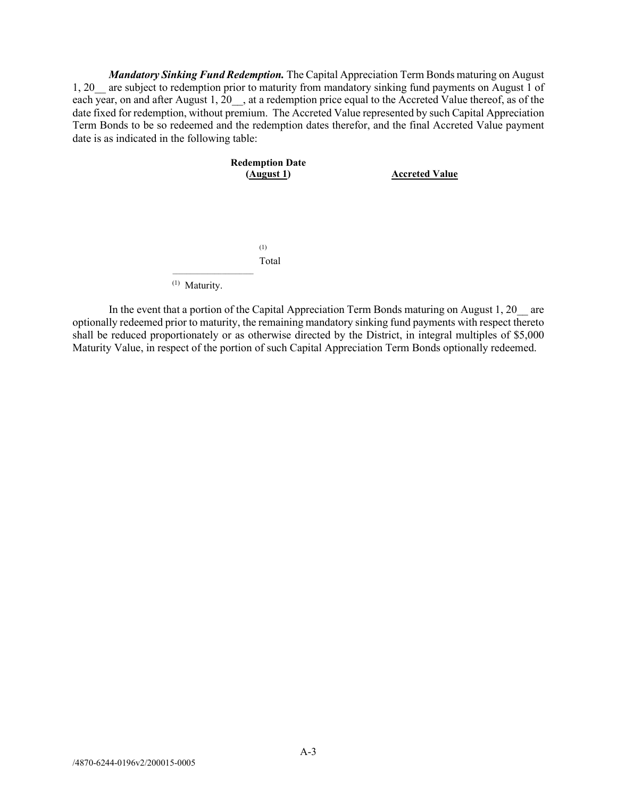*Mandatory Sinking Fund Redemption.* The Capital Appreciation Term Bonds maturing on August 1, 20\_\_ are subject to redemption prior to maturity from mandatory sinking fund payments on August 1 of each year, on and after August 1,  $20$ , at a redemption price equal to the Accreted Value thereof, as of the date fixed for redemption, without premium. The Accreted Value represented by such Capital Appreciation Term Bonds to be so redeemed and the redemption dates therefor, and the final Accreted Value payment date is as indicated in the following table:



In the event that a portion of the Capital Appreciation Term Bonds maturing on August 1, 20 are optionally redeemed prior to maturity, the remaining mandatory sinking fund payments with respect thereto shall be reduced proportionately or as otherwise directed by the District, in integral multiples of \$5,000 Maturity Value, in respect of the portion of such Capital Appreciation Term Bonds optionally redeemed.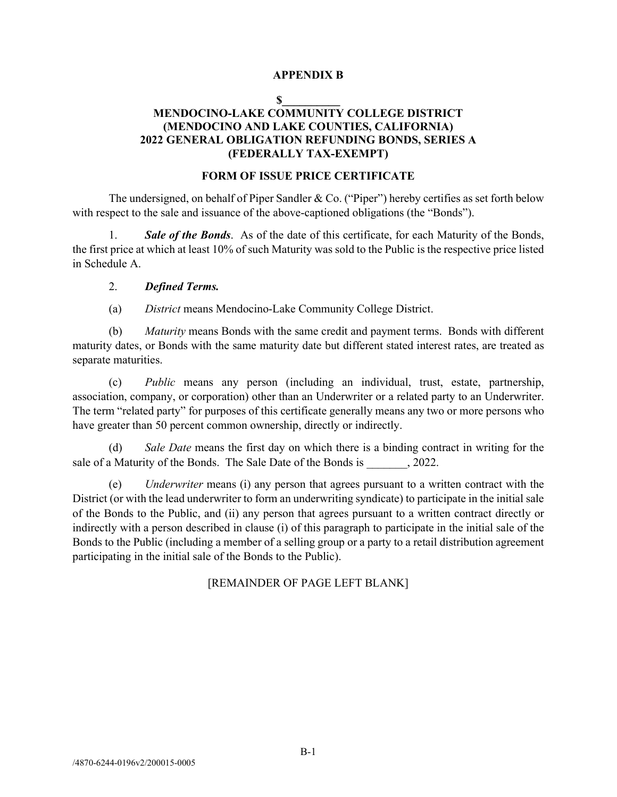## **APPENDIX B**

#### $\mathbf S$

# **MENDOCINO-LAKE COMMUNITY COLLEGE DISTRICT (MENDOCINO AND LAKE COUNTIES, CALIFORNIA) 2022 GENERAL OBLIGATION REFUNDING BONDS, SERIES A (FEDERALLY TAX-EXEMPT)**

#### **FORM OF ISSUE PRICE CERTIFICATE**

The undersigned, on behalf of Piper Sandler & Co. ("Piper") hereby certifies as set forth below with respect to the sale and issuance of the above-captioned obligations (the "Bonds").

1. *Sale of the Bonds*. As of the date of this certificate, for each Maturity of the Bonds, the first price at which at least 10% of such Maturity was sold to the Public is the respective price listed in Schedule A.

#### 2. *Defined Terms.*

(a) *District* means Mendocino-Lake Community College District.

(b) *Maturity* means Bonds with the same credit and payment terms. Bonds with different maturity dates, or Bonds with the same maturity date but different stated interest rates, are treated as separate maturities.

(c) *Public* means any person (including an individual, trust, estate, partnership, association, company, or corporation) other than an Underwriter or a related party to an Underwriter. The term "related party" for purposes of this certificate generally means any two or more persons who have greater than 50 percent common ownership, directly or indirectly.

(d) *Sale Date* means the first day on which there is a binding contract in writing for the sale of a Maturity of the Bonds. The Sale Date of the Bonds is  $\qquad \qquad$ , 2022.

(e) *Underwriter* means (i) any person that agrees pursuant to a written contract with the District (or with the lead underwriter to form an underwriting syndicate) to participate in the initial sale of the Bonds to the Public, and (ii) any person that agrees pursuant to a written contract directly or indirectly with a person described in clause (i) of this paragraph to participate in the initial sale of the Bonds to the Public (including a member of a selling group or a party to a retail distribution agreement participating in the initial sale of the Bonds to the Public).

[REMAINDER OF PAGE LEFT BLANK]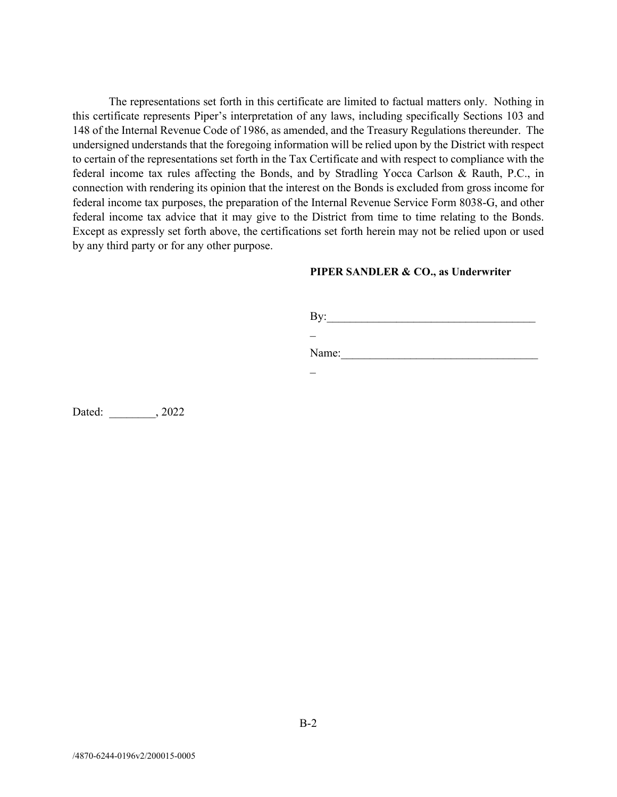The representations set forth in this certificate are limited to factual matters only. Nothing in this certificate represents Piper's interpretation of any laws, including specifically Sections 103 and 148 of the Internal Revenue Code of 1986, as amended, and the Treasury Regulations thereunder. The undersigned understands that the foregoing information will be relied upon by the District with respect to certain of the representations set forth in the Tax Certificate and with respect to compliance with the federal income tax rules affecting the Bonds, and by Stradling Yocca Carlson & Rauth, P.C., in connection with rendering its opinion that the interest on the Bonds is excluded from gross income for federal income tax purposes, the preparation of the Internal Revenue Service Form 8038-G, and other federal income tax advice that it may give to the District from time to time relating to the Bonds. Except as expressly set forth above, the certifications set forth herein may not be relied upon or used by any third party or for any other purpose.

### **PIPER SANDLER & CO., as Underwriter**

By:\_\_\_\_\_\_\_\_\_\_\_\_\_\_\_\_\_\_\_\_\_\_\_\_\_\_\_\_\_\_\_\_\_\_\_\_ \_

Name:

\_

Dated: \_\_\_\_\_\_\_\_, 2022